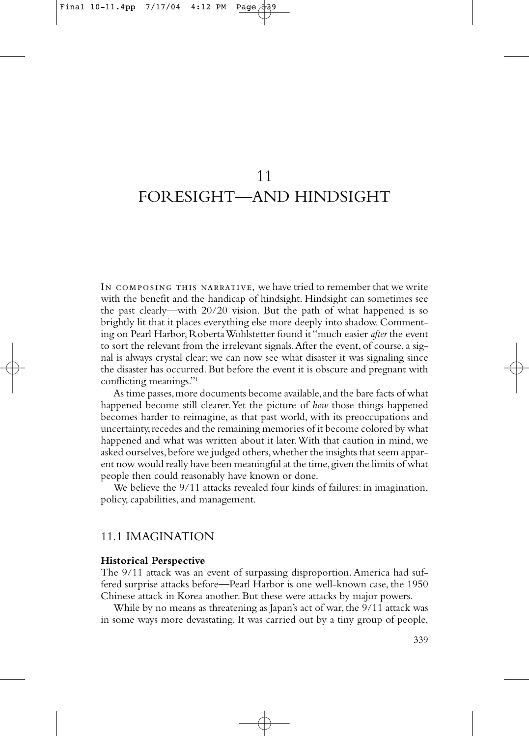# FORESIGHT—AND HINDSIGHT

In composing this narrative, we have tried to remember that we write with the benefit and the handicap of hindsight. Hindsight can sometimes see the past clearly—with 20/20 vision. But the path of what happened is so brightly lit that it places everything else more deeply into shadow. Commenting on Pearl Harbor, Roberta Wohlstetter found it "much easier *after* the event to sort the relevant from the irrelevant signals.After the event, of course, a signal is always crystal clear; we can now see what disaster it was signaling since the disaster has occurred. But before the event it is obscure and pregnant with conflicting meanings."1

As time passes, more documents become available, and the bare facts of what happened become still clearer.Yet the picture of *how* those things happened becomes harder to reimagine, as that past world, with its preoccupations and uncertainty, recedes and the remaining memories of it become colored by what happened and what was written about it later.With that caution in mind, we asked ourselves,before we judged others,whether the insights that seem apparent now would really have been meaningful at the time,given the limits of what people then could reasonably have known or done.

We believe the 9/11 attacks revealed four kinds of failures: in imagination, policy, capabilities, and management.

# 11.1 IMAGINATION

## **Historical Perspective**

The 9/11 attack was an event of surpassing disproportion. America had suffered surprise attacks before—Pearl Harbor is one well-known case, the 1950 Chinese attack in Korea another. But these were attacks by major powers.

While by no means as threatening as Japan's act of war, the 9/11 attack was in some ways more devastating. It was carried out by a tiny group of people,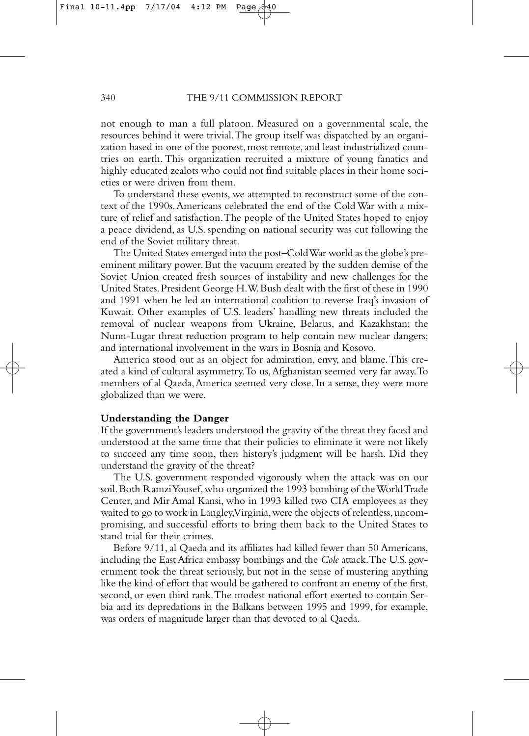not enough to man a full platoon. Measured on a governmental scale, the resources behind it were trivial.The group itself was dispatched by an organization based in one of the poorest, most remote, and least industrialized countries on earth. This organization recruited a mixture of young fanatics and highly educated zealots who could not find suitable places in their home societies or were driven from them.

To understand these events, we attempted to reconstruct some of the context of the 1990s.Americans celebrated the end of the Cold War with a mixture of relief and satisfaction.The people of the United States hoped to enjoy a peace dividend, as U.S. spending on national security was cut following the end of the Soviet military threat.

The United States emerged into the post–Cold War world as the globe's preeminent military power. But the vacuum created by the sudden demise of the Soviet Union created fresh sources of instability and new challenges for the United States.President George H.W.Bush dealt with the first of these in 1990 and 1991 when he led an international coalition to reverse Iraq's invasion of Kuwait. Other examples of U.S. leaders' handling new threats included the removal of nuclear weapons from Ukraine, Belarus, and Kazakhstan; the Nunn-Lugar threat reduction program to help contain new nuclear dangers; and international involvement in the wars in Bosnia and Kosovo.

America stood out as an object for admiration, envy, and blame.This created a kind of cultural asymmetry.To us,Afghanistan seemed very far away.To members of al Qaeda,America seemed very close. In a sense, they were more globalized than we were.

## **Understanding the Danger**

If the government's leaders understood the gravity of the threat they faced and understood at the same time that their policies to eliminate it were not likely to succeed any time soon, then history's judgment will be harsh. Did they understand the gravity of the threat?

The U.S. government responded vigorously when the attack was on our soil. Both Ramzi Yousef, who organized the 1993 bombing of the World Trade Center, and Mir Amal Kansi, who in 1993 killed two CIA employees as they waited to go to work in Langley, Virginia, were the objects of relentless, uncompromising, and successful efforts to bring them back to the United States to stand trial for their crimes.

Before 9/11, al Qaeda and its affiliates had killed fewer than 50 Americans, including the East Africa embassy bombings and the *Cole* attack.The U.S. government took the threat seriously, but not in the sense of mustering anything like the kind of effort that would be gathered to confront an enemy of the first, second, or even third rank.The modest national effort exerted to contain Serbia and its depredations in the Balkans between 1995 and 1999, for example, was orders of magnitude larger than that devoted to al Qaeda.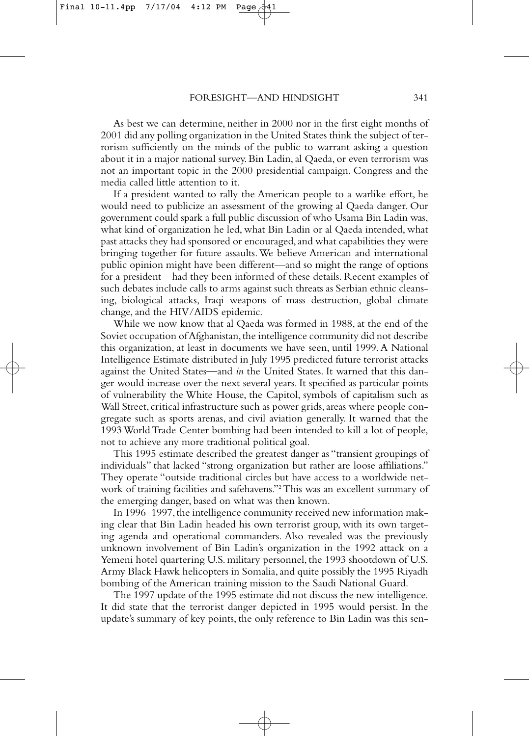As best we can determine, neither in 2000 nor in the first eight months of 2001 did any polling organization in the United States think the subject of terrorism sufficiently on the minds of the public to warrant asking a question about it in a major national survey. Bin Ladin, al Qaeda, or even terrorism was not an important topic in the 2000 presidential campaign. Congress and the media called little attention to it.

If a president wanted to rally the American people to a warlike effort, he would need to publicize an assessment of the growing al Qaeda danger. Our government could spark a full public discussion of who Usama Bin Ladin was, what kind of organization he led, what Bin Ladin or al Qaeda intended, what past attacks they had sponsored or encouraged,and what capabilities they were bringing together for future assaults.We believe American and international public opinion might have been different––and so might the range of options for a president––had they been informed of these details. Recent examples of such debates include calls to arms against such threats as Serbian ethnic cleansing, biological attacks, Iraqi weapons of mass destruction, global climate change, and the HIV/AIDS epidemic.

While we now know that al Qaeda was formed in 1988, at the end of the Soviet occupation of Afghanistan, the intelligence community did not describe this organization, at least in documents we have seen, until 1999.A National Intelligence Estimate distributed in July 1995 predicted future terrorist attacks against the United States—and *in* the United States. It warned that this danger would increase over the next several years. It specified as particular points of vulnerability the White House, the Capitol, symbols of capitalism such as Wall Street, critical infrastructure such as power grids, areas where people congregate such as sports arenas, and civil aviation generally. It warned that the 1993 World Trade Center bombing had been intended to kill a lot of people, not to achieve any more traditional political goal.

This 1995 estimate described the greatest danger as "transient groupings of individuals" that lacked "strong organization but rather are loose affiliations." They operate "outside traditional circles but have access to a worldwide network of training facilities and safehavens."2This was an excellent summary of the emerging danger, based on what was then known.

In 1996–1997, the intelligence community received new information making clear that Bin Ladin headed his own terrorist group, with its own targeting agenda and operational commanders. Also revealed was the previously unknown involvement of Bin Ladin's organization in the 1992 attack on a Yemeni hotel quartering U.S. military personnel, the 1993 shootdown of U.S. Army Black Hawk helicopters in Somalia,and quite possibly the 1995 Riyadh bombing of the American training mission to the Saudi National Guard.

The 1997 update of the 1995 estimate did not discuss the new intelligence. It did state that the terrorist danger depicted in 1995 would persist. In the update's summary of key points, the only reference to Bin Ladin was this sen-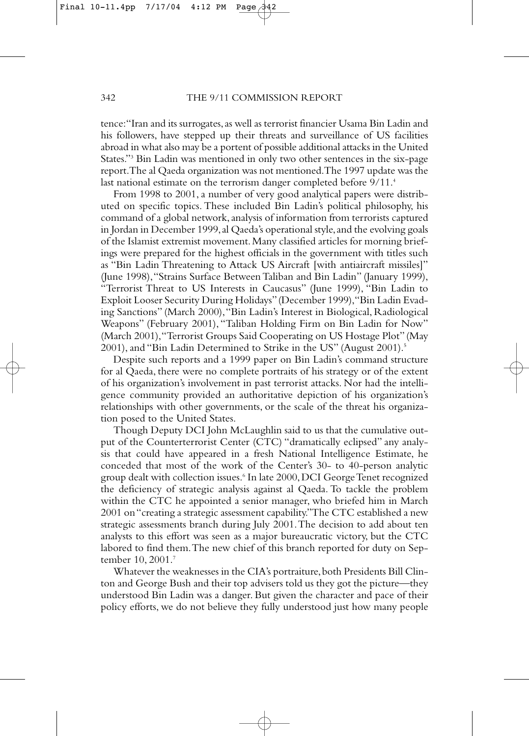tence: "Iran and its surrogates, as well as terrorist financier Usama Bin Ladin and his followers, have stepped up their threats and surveillance of US facilities abroad in what also may be a portent of possible additional attacks in the United States."3 Bin Ladin was mentioned in only two other sentences in the six-page report.The al Qaeda organization was not mentioned.The 1997 update was the last national estimate on the terrorism danger completed before  $9/11$ .<sup>4</sup>

From 1998 to 2001, a number of very good analytical papers were distributed on specific topics. These included Bin Ladin's political philosophy, his command of a global network, analysis of information from terrorists captured in Jordan in December 1999, al Qaeda's operational style, and the evolving goals of the Islamist extremist movement.Many classified articles for morning briefings were prepared for the highest officials in the government with titles such as "Bin Ladin Threatening to Attack US Aircraft [with antiaircraft missiles]" (June 1998),"Strains Surface Between Taliban and Bin Ladin" (January 1999), "Terrorist Threat to US Interests in Caucasus" (June 1999), "Bin Ladin to Exploit Looser Security During Holidays"(December 1999),"Bin Ladin Evading Sanctions" (March 2000),"Bin Ladin's Interest in Biological, Radiological Weapons" (February 2001),"Taliban Holding Firm on Bin Ladin for Now" (March 2001),"Terrorist Groups Said Cooperating on US Hostage Plot"(May 2001), and "Bin Ladin Determined to Strike in the US" (August 2001).<sup>5</sup>

Despite such reports and a 1999 paper on Bin Ladin's command structure for al Qaeda, there were no complete portraits of his strategy or of the extent of his organization's involvement in past terrorist attacks. Nor had the intelligence community provided an authoritative depiction of his organization's relationships with other governments, or the scale of the threat his organization posed to the United States.

Though Deputy DCI John McLaughlin said to us that the cumulative output of the Counterterrorist Center (CTC) "dramatically eclipsed" any analysis that could have appeared in a fresh National Intelligence Estimate, he conceded that most of the work of the Center's 30- to 40-person analytic group dealt with collection issues.<sup>6</sup> In late 2000, DCI George Tenet recognized the deficiency of strategic analysis against al Qaeda. To tackle the problem within the CTC he appointed a senior manager, who briefed him in March 2001 on "creating a strategic assessment capability."The CTC established a new strategic assessments branch during July 2001.The decision to add about ten analysts to this effort was seen as a major bureaucratic victory, but the CTC labored to find them.The new chief of this branch reported for duty on September 10, 2001.<sup>7</sup>

Whatever the weaknesses in the CIA's portraiture, both Presidents Bill Clinton and George Bush and their top advisers told us they got the picture—they understood Bin Ladin was a danger. But given the character and pace of their policy efforts, we do not believe they fully understood just how many people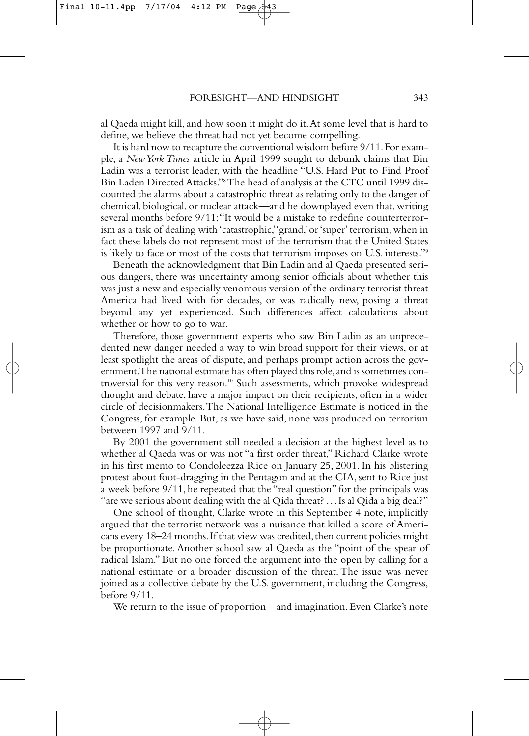al Qaeda might kill, and how soon it might do it.At some level that is hard to define, we believe the threat had not yet become compelling.

It is hard now to recapture the conventional wisdom before 9/11.For example, a *New York Times* article in April 1999 sought to debunk claims that Bin Ladin was a terrorist leader, with the headline "U.S. Hard Put to Find Proof Bin Laden Directed Attacks."8The head of analysis at the CTC until 1999 discounted the alarms about a catastrophic threat as relating only to the danger of chemical, biological, or nuclear attack—and he downplayed even that, writing several months before 9/11:"It would be a mistake to redefine counterterrorism as a task of dealing with 'catastrophic,''grand,' or 'super' terrorism, when in fact these labels do not represent most of the terrorism that the United States is likely to face or most of the costs that terrorism imposes on U.S. interests."9

Beneath the acknowledgment that Bin Ladin and al Qaeda presented serious dangers, there was uncertainty among senior officials about whether this was just a new and especially venomous version of the ordinary terrorist threat America had lived with for decades, or was radically new, posing a threat beyond any yet experienced. Such differences affect calculations about whether or how to go to war.

Therefore, those government experts who saw Bin Ladin as an unprecedented new danger needed a way to win broad support for their views, or at least spotlight the areas of dispute, and perhaps prompt action across the government.The national estimate has often played this role,and is sometimes controversial for this very reason.10 Such assessments, which provoke widespread thought and debate, have a major impact on their recipients, often in a wider circle of decisionmakers.The National Intelligence Estimate is noticed in the Congress, for example. But, as we have said, none was produced on terrorism between 1997 and 9/11.

By 2001 the government still needed a decision at the highest level as to whether al Qaeda was or was not "a first order threat," Richard Clarke wrote in his first memo to Condoleezza Rice on January 25, 2001. In his blistering protest about foot-dragging in the Pentagon and at the CIA, sent to Rice just a week before 9/11, he repeated that the "real question" for the principals was "are we serious about dealing with the al Qida threat? ...Is al Qida a big deal?"

One school of thought, Clarke wrote in this September 4 note, implicitly argued that the terrorist network was a nuisance that killed a score of Americans every 18–24 months. If that view was credited, then current policies might be proportionate. Another school saw al Qaeda as the "point of the spear of radical Islam." But no one forced the argument into the open by calling for a national estimate or a broader discussion of the threat. The issue was never joined as a collective debate by the U.S. government, including the Congress, before 9/11.

We return to the issue of proportion—and imagination. Even Clarke's note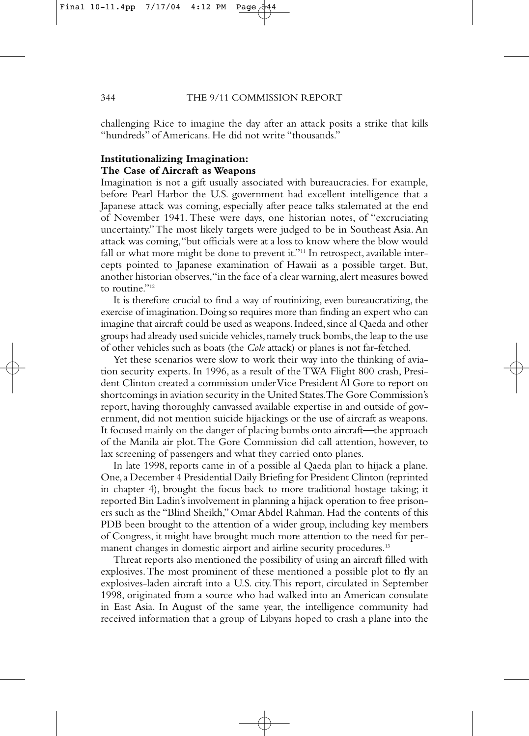challenging Rice to imagine the day after an attack posits a strike that kills "hundreds" of Americans. He did not write "thousands."

# **Institutionalizing Imagination: The Case of Aircraft as Weapons**

Imagination is not a gift usually associated with bureaucracies. For example, before Pearl Harbor the U.S. government had excellent intelligence that a Japanese attack was coming, especially after peace talks stalemated at the end of November 1941. These were days, one historian notes, of "excruciating uncertainty."The most likely targets were judged to be in Southeast Asia.An attack was coming,"but officials were at a loss to know where the blow would fall or what more might be done to prevent it."<sup>11</sup> In retrospect, available intercepts pointed to Japanese examination of Hawaii as a possible target. But, another historian observes,"in the face of a clear warning,alert measures bowed to routine."12

It is therefore crucial to find a way of routinizing, even bureaucratizing, the exercise of imagination.Doing so requires more than finding an expert who can imagine that aircraft could be used as weapons. Indeed, since al Qaeda and other groups had already used suicide vehicles,namely truck bombs,the leap to the use of other vehicles such as boats (the *Cole* attack) or planes is not far-fetched.

Yet these scenarios were slow to work their way into the thinking of aviation security experts. In 1996, as a result of the TWA Flight 800 crash, President Clinton created a commission under Vice President Al Gore to report on shortcomings in aviation security in the United States.The Gore Commission's report, having thoroughly canvassed available expertise in and outside of government, did not mention suicide hijackings or the use of aircraft as weapons. It focused mainly on the danger of placing bombs onto aircraft—the approach of the Manila air plot.The Gore Commission did call attention, however, to lax screening of passengers and what they carried onto planes.

In late 1998, reports came in of a possible al Qaeda plan to hijack a plane. One,a December 4 Presidential Daily Briefing for President Clinton (reprinted in chapter 4), brought the focus back to more traditional hostage taking; it reported Bin Ladin's involvement in planning a hijack operation to free prisoners such as the "Blind Sheikh," Omar Abdel Rahman. Had the contents of this PDB been brought to the attention of a wider group, including key members of Congress, it might have brought much more attention to the need for permanent changes in domestic airport and airline security procedures.<sup>13</sup>

Threat reports also mentioned the possibility of using an aircraft filled with explosives.The most prominent of these mentioned a possible plot to fly an explosives-laden aircraft into a U.S. city.This report, circulated in September 1998, originated from a source who had walked into an American consulate in East Asia. In August of the same year, the intelligence community had received information that a group of Libyans hoped to crash a plane into the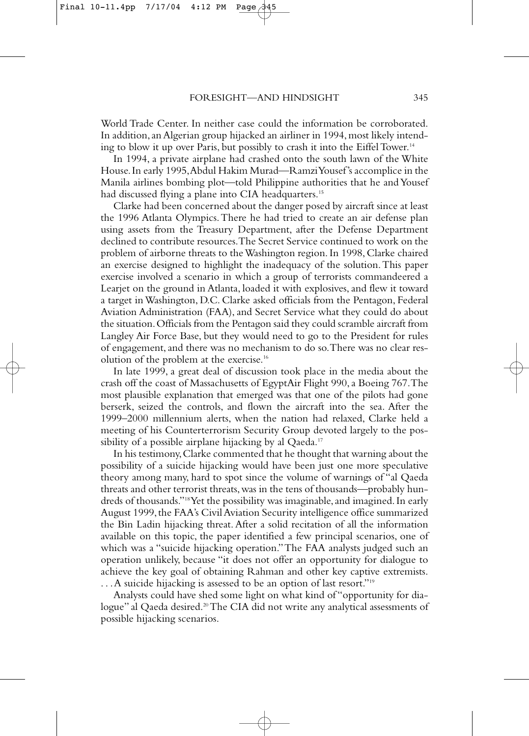World Trade Center. In neither case could the information be corroborated. In addition,an Algerian group hijacked an airliner in 1994,most likely intending to blow it up over Paris, but possibly to crash it into the Eiffel Tower.<sup>14</sup>

In 1994, a private airplane had crashed onto the south lawn of the White House.In early 1995,Abdul Hakim Murad—Ramzi Yousef's accomplice in the Manila airlines bombing plot—told Philippine authorities that he and Yousef had discussed flying a plane into CIA headquarters.<sup>15</sup>

Clarke had been concerned about the danger posed by aircraft since at least the 1996 Atlanta Olympics.There he had tried to create an air defense plan using assets from the Treasury Department, after the Defense Department declined to contribute resources.The Secret Service continued to work on the problem of airborne threats to the Washington region. In 1998, Clarke chaired an exercise designed to highlight the inadequacy of the solution.This paper exercise involved a scenario in which a group of terrorists commandeered a Learjet on the ground in Atlanta, loaded it with explosives, and flew it toward a target in Washington, D.C. Clarke asked officials from the Pentagon, Federal Aviation Administration (FAA), and Secret Service what they could do about the situation.Officials from the Pentagon said they could scramble aircraft from Langley Air Force Base, but they would need to go to the President for rules of engagement, and there was no mechanism to do so.There was no clear resolution of the problem at the exercise.16

In late 1999, a great deal of discussion took place in the media about the crash off the coast of Massachusetts of EgyptAir Flight 990, a Boeing 767.The most plausible explanation that emerged was that one of the pilots had gone berserk, seized the controls, and flown the aircraft into the sea. After the 1999–2000 millennium alerts, when the nation had relaxed, Clarke held a meeting of his Counterterrorism Security Group devoted largely to the possibility of a possible airplane hijacking by al Qaeda.<sup>17</sup>

In his testimony,Clarke commented that he thought that warning about the possibility of a suicide hijacking would have been just one more speculative theory among many, hard to spot since the volume of warnings of "al Qaeda threats and other terrorist threats,was in the tens of thousands—probably hundreds of thousands."18Yet the possibility was imaginable,and imagined.In early August 1999, the FAA's Civil Aviation Security intelligence office summarized the Bin Ladin hijacking threat. After a solid recitation of all the information available on this topic, the paper identified a few principal scenarios, one of which was a "suicide hijacking operation."The FAA analysts judged such an operation unlikely, because "it does not offer an opportunity for dialogue to achieve the key goal of obtaining Rahman and other key captive extremists. . . .A suicide hijacking is assessed to be an option of last resort."19

Analysts could have shed some light on what kind of "opportunity for dialogue" al Qaeda desired.<sup>20</sup>The CIA did not write any analytical assessments of possible hijacking scenarios.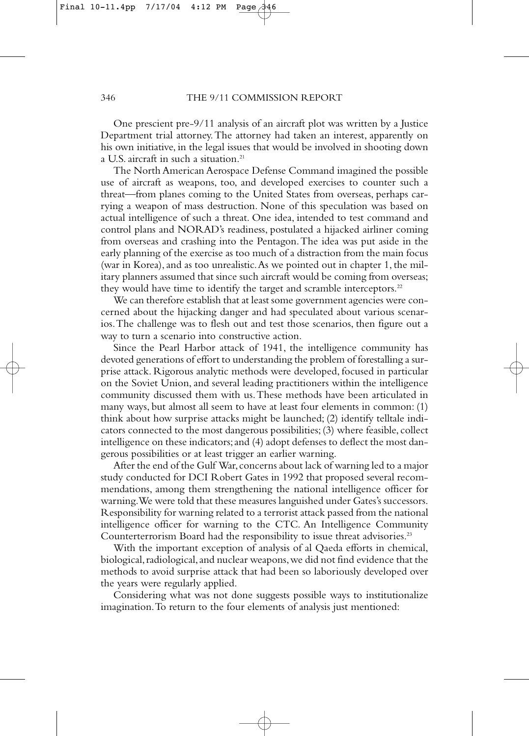One prescient pre-9/11 analysis of an aircraft plot was written by a Justice Department trial attorney.The attorney had taken an interest, apparently on his own initiative, in the legal issues that would be involved in shooting down a U.S. aircraft in such a situation.<sup>21</sup>

The North American Aerospace Defense Command imagined the possible use of aircraft as weapons, too, and developed exercises to counter such a threat—from planes coming to the United States from overseas, perhaps carrying a weapon of mass destruction. None of this speculation was based on actual intelligence of such a threat. One idea, intended to test command and control plans and NORAD's readiness, postulated a hijacked airliner coming from overseas and crashing into the Pentagon.The idea was put aside in the early planning of the exercise as too much of a distraction from the main focus (war in Korea), and as too unrealistic.As we pointed out in chapter 1, the military planners assumed that since such aircraft would be coming from overseas; they would have time to identify the target and scramble interceptors.<sup>22</sup>

We can therefore establish that at least some government agencies were concerned about the hijacking danger and had speculated about various scenarios.The challenge was to flesh out and test those scenarios, then figure out a way to turn a scenario into constructive action.

Since the Pearl Harbor attack of 1941, the intelligence community has devoted generations of effort to understanding the problem of forestalling a surprise attack. Rigorous analytic methods were developed, focused in particular on the Soviet Union, and several leading practitioners within the intelligence community discussed them with us.These methods have been articulated in many ways, but almost all seem to have at least four elements in common: (1) think about how surprise attacks might be launched; (2) identify telltale indicators connected to the most dangerous possibilities; (3) where feasible, collect intelligence on these indicators;and (4) adopt defenses to deflect the most dangerous possibilities or at least trigger an earlier warning.

After the end of the Gulf War, concerns about lack of warning led to a major study conducted for DCI Robert Gates in 1992 that proposed several recommendations, among them strengthening the national intelligence officer for warning.We were told that these measures languished under Gates's successors. Responsibility for warning related to a terrorist attack passed from the national intelligence officer for warning to the CTC. An Intelligence Community Counterterrorism Board had the responsibility to issue threat advisories.<sup>23</sup>

With the important exception of analysis of al Qaeda efforts in chemical, biological, radiological, and nuclear weapons, we did not find evidence that the methods to avoid surprise attack that had been so laboriously developed over the years were regularly applied.

Considering what was not done suggests possible ways to institutionalize imagination.To return to the four elements of analysis just mentioned: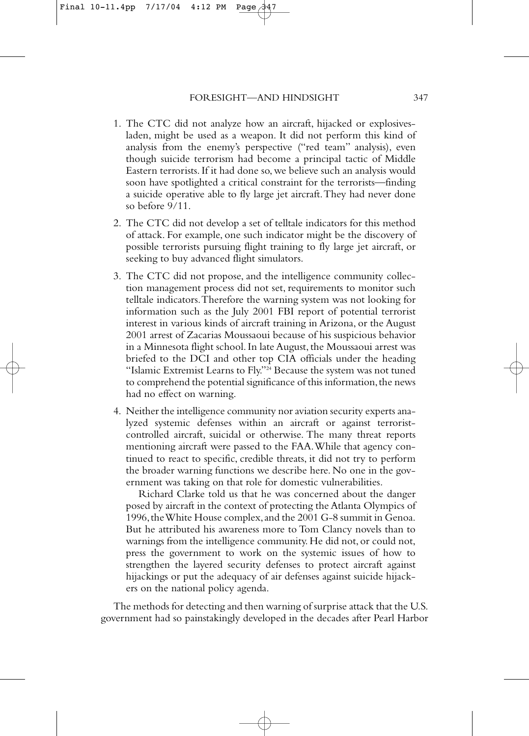- 1. The CTC did not analyze how an aircraft, hijacked or explosivesladen, might be used as a weapon. It did not perform this kind of analysis from the enemy's perspective ("red team" analysis), even though suicide terrorism had become a principal tactic of Middle Eastern terrorists. If it had done so, we believe such an analysis would soon have spotlighted a critical constraint for the terrorists—finding a suicide operative able to fly large jet aircraft.They had never done so before 9/11.
- 2. The CTC did not develop a set of telltale indicators for this method of attack. For example, one such indicator might be the discovery of possible terrorists pursuing flight training to fly large jet aircraft, or seeking to buy advanced flight simulators.
- 3. The CTC did not propose, and the intelligence community collection management process did not set, requirements to monitor such telltale indicators.Therefore the warning system was not looking for information such as the July 2001 FBI report of potential terrorist interest in various kinds of aircraft training in Arizona, or the August 2001 arrest of Zacarias Moussaoui because of his suspicious behavior in a Minnesota flight school. In late August, the Moussaoui arrest was briefed to the DCI and other top CIA officials under the heading "Islamic Extremist Learns to Fly."<sup>24</sup> Because the system was not tuned to comprehend the potential significance of this information, the news had no effect on warning.
- 4. Neither the intelligence community nor aviation security experts analyzed systemic defenses within an aircraft or against terroristcontrolled aircraft, suicidal or otherwise. The many threat reports mentioning aircraft were passed to the FAA.While that agency continued to react to specific, credible threats, it did not try to perform the broader warning functions we describe here. No one in the government was taking on that role for domestic vulnerabilities.

Richard Clarke told us that he was concerned about the danger posed by aircraft in the context of protecting the Atlanta Olympics of 1996,the White House complex,and the 2001 G-8 summit in Genoa. But he attributed his awareness more to Tom Clancy novels than to warnings from the intelligence community. He did not, or could not, press the government to work on the systemic issues of how to strengthen the layered security defenses to protect aircraft against hijackings or put the adequacy of air defenses against suicide hijackers on the national policy agenda.

The methods for detecting and then warning of surprise attack that the U.S. government had so painstakingly developed in the decades after Pearl Harbor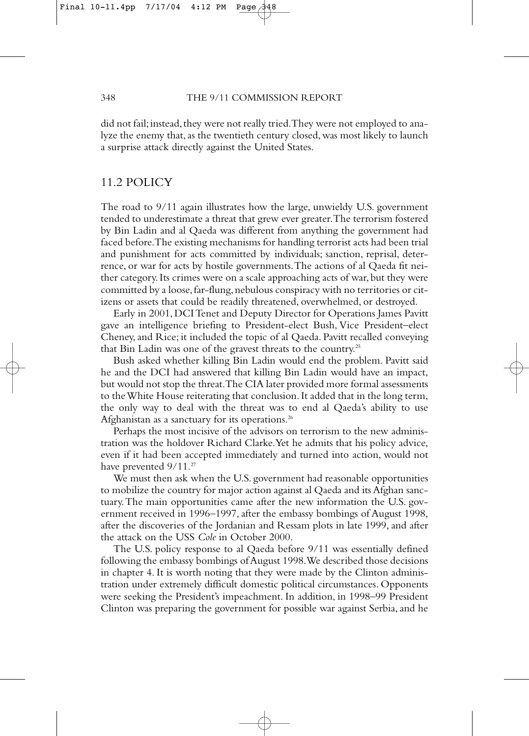did not fail; instead, they were not really tried. They were not employed to analyze the enemy that, as the twentieth century closed, was most likely to launch a surprise attack directly against the United States.

## 11.2 POLICY

The road to 9/11 again illustrates how the large, unwieldy U.S. government tended to underestimate a threat that grew ever greater.The terrorism fostered by Bin Ladin and al Qaeda was different from anything the government had faced before.The existing mechanisms for handling terrorist acts had been trial and punishment for acts committed by individuals; sanction, reprisal, deterrence, or war for acts by hostile governments.The actions of al Qaeda fit neither category. Its crimes were on a scale approaching acts of war, but they were committed by a loose, far-flung, nebulous conspiracy with no territories or citizens or assets that could be readily threatened, overwhelmed, or destroyed.

Early in 2001, DCI Tenet and Deputy Director for Operations James Pavitt gave an intelligence briefing to President-elect Bush, Vice President–elect Cheney, and Rice; it included the topic of al Qaeda. Pavitt recalled conveying that Bin Ladin was one of the gravest threats to the country.<sup>25</sup>

Bush asked whether killing Bin Ladin would end the problem. Pavitt said he and the DCI had answered that killing Bin Ladin would have an impact, but would not stop the threat.The CIA later provided more formal assessments to the White House reiterating that conclusion.It added that in the long term, the only way to deal with the threat was to end al Qaeda's ability to use Afghanistan as a sanctuary for its operations.<sup>26</sup>

Perhaps the most incisive of the advisors on terrorism to the new administration was the holdover Richard Clarke.Yet he admits that his policy advice, even if it had been accepted immediately and turned into action, would not have prevented  $9/11.^{27}$ 

We must then ask when the U.S. government had reasonable opportunities to mobilize the country for major action against al Qaeda and its Afghan sanctuary.The main opportunities came after the new information the U.S. government received in 1996–1997, after the embassy bombings of August 1998, after the discoveries of the Jordanian and Ressam plots in late 1999, and after the attack on the USS *Cole* in October 2000.

The U.S. policy response to al Qaeda before 9/11 was essentially defined following the embassy bombings of August 1998.We described those decisions in chapter 4. It is worth noting that they were made by the Clinton administration under extremely difficult domestic political circumstances. Opponents were seeking the President's impeachment. In addition, in 1998–99 President Clinton was preparing the government for possible war against Serbia, and he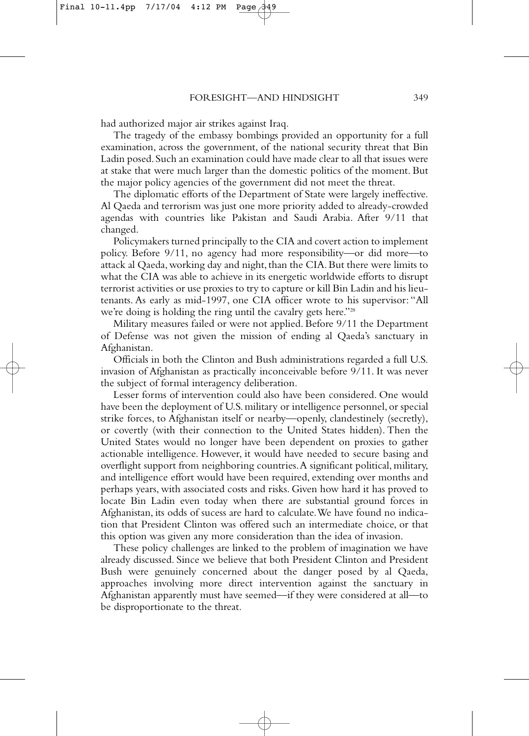had authorized major air strikes against Iraq.

The tragedy of the embassy bombings provided an opportunity for a full examination, across the government, of the national security threat that Bin Ladin posed.Such an examination could have made clear to all that issues were at stake that were much larger than the domestic politics of the moment. But the major policy agencies of the government did not meet the threat.

The diplomatic efforts of the Department of State were largely ineffective. Al Qaeda and terrorism was just one more priority added to already-crowded agendas with countries like Pakistan and Saudi Arabia. After 9/11 that changed.

Policymakers turned principally to the CIA and covert action to implement policy. Before 9/11, no agency had more responsibility—or did more—to attack al Qaeda, working day and night, than the CIA. But there were limits to what the CIA was able to achieve in its energetic worldwide efforts to disrupt terrorist activities or use proxies to try to capture or kill Bin Ladin and his lieutenants. As early as mid-1997, one CIA officer wrote to his supervisor: "All we're doing is holding the ring until the cavalry gets here."<sup>28</sup>

Military measures failed or were not applied. Before 9/11 the Department of Defense was not given the mission of ending al Qaeda's sanctuary in Afghanistan.

Officials in both the Clinton and Bush administrations regarded a full U.S. invasion of Afghanistan as practically inconceivable before 9/11. It was never the subject of formal interagency deliberation.

Lesser forms of intervention could also have been considered. One would have been the deployment of U.S. military or intelligence personnel, or special strike forces, to Afghanistan itself or nearby—openly, clandestinely (secretly), or covertly (with their connection to the United States hidden). Then the United States would no longer have been dependent on proxies to gather actionable intelligence. However, it would have needed to secure basing and overflight support from neighboring countries.A significant political, military, and intelligence effort would have been required, extending over months and perhaps years, with associated costs and risks. Given how hard it has proved to locate Bin Ladin even today when there are substantial ground forces in Afghanistan, its odds of sucess are hard to calculate.We have found no indication that President Clinton was offered such an intermediate choice, or that this option was given any more consideration than the idea of invasion.

These policy challenges are linked to the problem of imagination we have already discussed. Since we believe that both President Clinton and President Bush were genuinely concerned about the danger posed by al Qaeda, approaches involving more direct intervention against the sanctuary in Afghanistan apparently must have seemed—if they were considered at all—to be disproportionate to the threat.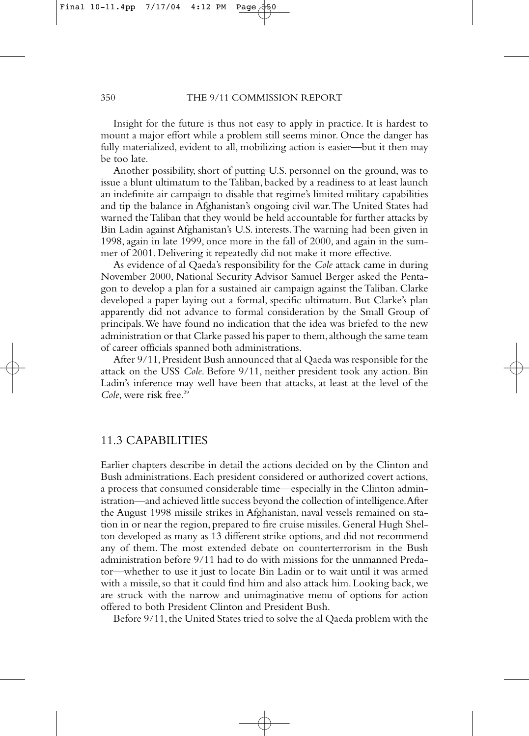Insight for the future is thus not easy to apply in practice. It is hardest to mount a major effort while a problem still seems minor. Once the danger has fully materialized, evident to all, mobilizing action is easier—but it then may be too late.

Another possibility, short of putting U.S. personnel on the ground, was to issue a blunt ultimatum to the Taliban, backed by a readiness to at least launch an indefinite air campaign to disable that regime's limited military capabilities and tip the balance in Afghanistan's ongoing civil war.The United States had warned the Taliban that they would be held accountable for further attacks by Bin Ladin against Afghanistan's U.S. interests.The warning had been given in 1998, again in late 1999, once more in the fall of 2000, and again in the summer of 2001. Delivering it repeatedly did not make it more effective.

As evidence of al Qaeda's responsibility for the *Cole* attack came in during November 2000, National Security Advisor Samuel Berger asked the Pentagon to develop a plan for a sustained air campaign against the Taliban. Clarke developed a paper laying out a formal, specific ultimatum. But Clarke's plan apparently did not advance to formal consideration by the Small Group of principals.We have found no indication that the idea was briefed to the new administration or that Clarke passed his paper to them, although the same team of career officials spanned both administrations.

After 9/11, President Bush announced that al Qaeda was responsible for the attack on the USS *Cole*. Before 9/11, neither president took any action. Bin Ladin's inference may well have been that attacks, at least at the level of the *Cole*, were risk free.<sup>29</sup>

# 11.3 CAPABILITIES

Earlier chapters describe in detail the actions decided on by the Clinton and Bush administrations. Each president considered or authorized covert actions, a process that consumed considerable time—especially in the Clinton administration—and achieved little success beyond the collection of intelligence.After the August 1998 missile strikes in Afghanistan, naval vessels remained on station in or near the region, prepared to fire cruise missiles. General Hugh Shelton developed as many as 13 different strike options, and did not recommend any of them. The most extended debate on counterterrorism in the Bush administration before 9/11 had to do with missions for the unmanned Predator—whether to use it just to locate Bin Ladin or to wait until it was armed with a missile, so that it could find him and also attack him. Looking back, we are struck with the narrow and unimaginative menu of options for action offered to both President Clinton and President Bush.

Before 9/11, the United States tried to solve the al Qaeda problem with the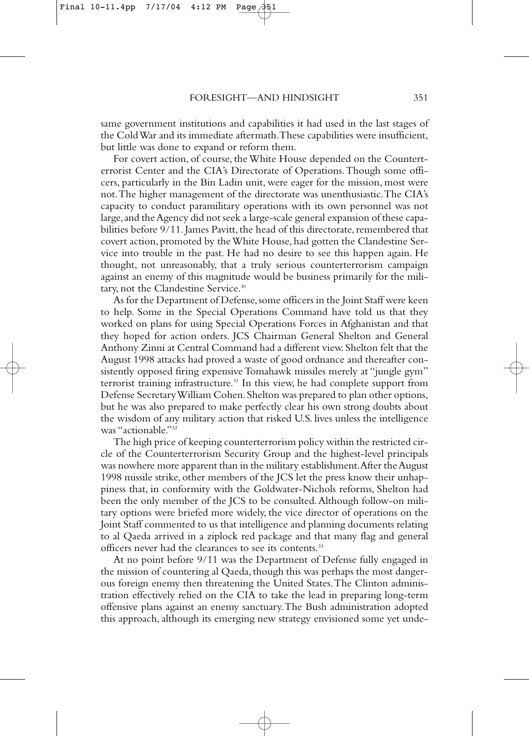same government institutions and capabilities it had used in the last stages of the Cold War and its immediate aftermath.These capabilities were insufficient, but little was done to expand or reform them.

For covert action, of course, the White House depended on the Counterterrorist Center and the CIA's Directorate of Operations.Though some officers, particularly in the Bin Ladin unit, were eager for the mission, most were not.The higher management of the directorate was unenthusiastic.The CIA's capacity to conduct paramilitary operations with its own personnel was not large,and the Agency did not seek a large-scale general expansion of these capabilities before 9/11. James Pavitt, the head of this directorate, remembered that covert action, promoted by the White House, had gotten the Clandestine Service into trouble in the past. He had no desire to see this happen again. He thought, not unreasonably, that a truly serious counterterrorism campaign against an enemy of this magnitude would be business primarily for the military, not the Clandestine Service.<sup>30</sup>

As for the Department of Defense, some officers in the Joint Staff were keen to help. Some in the Special Operations Command have told us that they worked on plans for using Special Operations Forces in Afghanistan and that they hoped for action orders. JCS Chairman General Shelton and General Anthony Zinni at Central Command had a different view.Shelton felt that the August 1998 attacks had proved a waste of good ordnance and thereafter consistently opposed firing expensive Tomahawk missiles merely at "jungle gym" terrorist training infrastructure.<sup>31</sup> In this view, he had complete support from Defense Secretary William Cohen.Shelton was prepared to plan other options, but he was also prepared to make perfectly clear his own strong doubts about the wisdom of any military action that risked U.S. lives unless the intelligence was "actionable."32

The high price of keeping counterterrorism policy within the restricted circle of the Counterterrorism Security Group and the highest-level principals was nowhere more apparent than in the military establishment.After the August 1998 missile strike, other members of the JCS let the press know their unhappiness that, in conformity with the Goldwater-Nichols reforms, Shelton had been the only member of the JCS to be consulted.Although follow-on military options were briefed more widely, the vice director of operations on the Joint Staff commented to us that intelligence and planning documents relating to al Qaeda arrived in a ziplock red package and that many flag and general officers never had the clearances to see its contents.<sup>33</sup>

At no point before 9/11 was the Department of Defense fully engaged in the mission of countering al Qaeda, though this was perhaps the most dangerous foreign enemy then threatening the United States.The Clinton administration effectively relied on the CIA to take the lead in preparing long-term offensive plans against an enemy sanctuary.The Bush administration adopted this approach, although its emerging new strategy envisioned some yet unde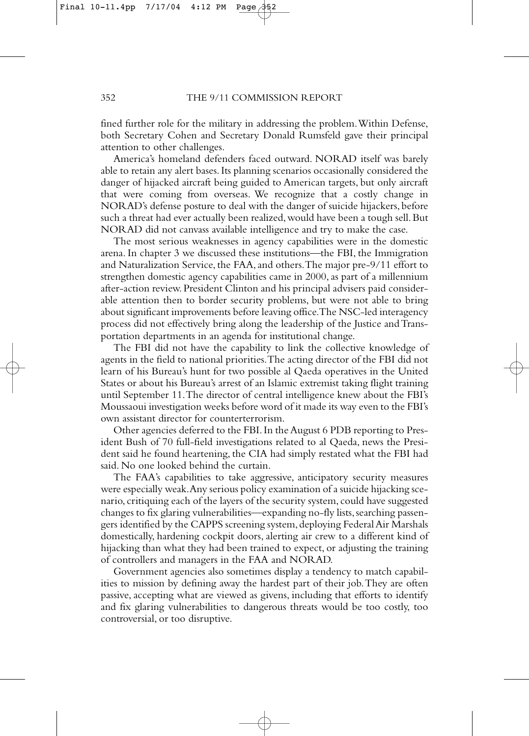fined further role for the military in addressing the problem.Within Defense, both Secretary Cohen and Secretary Donald Rumsfeld gave their principal attention to other challenges.

America's homeland defenders faced outward. NORAD itself was barely able to retain any alert bases.Its planning scenarios occasionally considered the danger of hijacked aircraft being guided to American targets, but only aircraft that were coming from overseas. We recognize that a costly change in NORAD's defense posture to deal with the danger of suicide hijackers, before such a threat had ever actually been realized, would have been a tough sell. But NORAD did not canvass available intelligence and try to make the case.

The most serious weaknesses in agency capabilities were in the domestic arena. In chapter 3 we discussed these institutions—the FBI, the Immigration and Naturalization Service, the FAA, and others.The major pre-9/11 effort to strengthen domestic agency capabilities came in 2000, as part of a millennium after-action review. President Clinton and his principal advisers paid considerable attention then to border security problems, but were not able to bring about significant improvements before leaving office.The NSC-led interagency process did not effectively bring along the leadership of the Justice and Transportation departments in an agenda for institutional change.

The FBI did not have the capability to link the collective knowledge of agents in the field to national priorities.The acting director of the FBI did not learn of his Bureau's hunt for two possible al Qaeda operatives in the United States or about his Bureau's arrest of an Islamic extremist taking flight training until September 11.The director of central intelligence knew about the FBI's Moussaoui investigation weeks before word of it made its way even to the FBI's own assistant director for counterterrorism.

Other agencies deferred to the FBI.In the August 6 PDB reporting to President Bush of 70 full-field investigations related to al Qaeda, news the President said he found heartening, the CIA had simply restated what the FBI had said. No one looked behind the curtain.

The FAA's capabilities to take aggressive, anticipatory security measures were especially weak.Any serious policy examination of a suicide hijacking scenario, critiquing each of the layers of the security system, could have suggested changes to fix glaring vulnerabilities—expanding no-fly lists, searching passengers identified by the CAPPS screening system, deploying Federal Air Marshals domestically, hardening cockpit doors, alerting air crew to a different kind of hijacking than what they had been trained to expect, or adjusting the training of controllers and managers in the FAA and NORAD.

Government agencies also sometimes display a tendency to match capabilities to mission by defining away the hardest part of their job.They are often passive, accepting what are viewed as givens, including that efforts to identify and fix glaring vulnerabilities to dangerous threats would be too costly, too controversial, or too disruptive.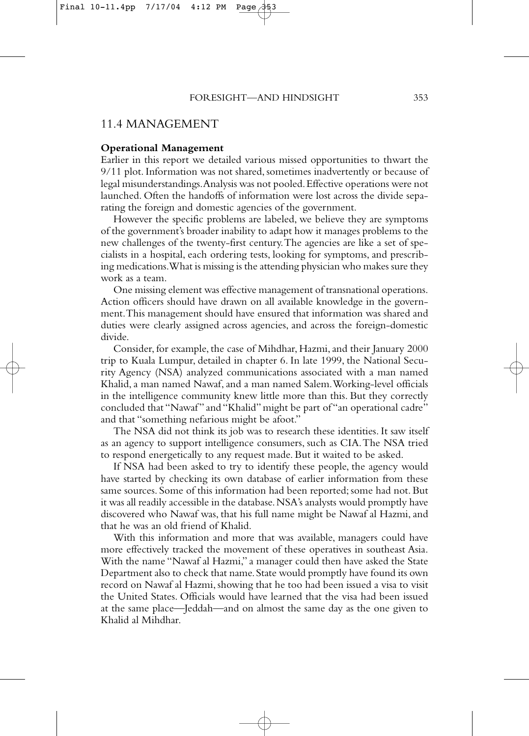## 11.4 MANAGEMENT

### **Operational Management**

Earlier in this report we detailed various missed opportunities to thwart the 9/11 plot. Information was not shared, sometimes inadvertently or because of legal misunderstandings.Analysis was not pooled.Effective operations were not launched. Often the handoffs of information were lost across the divide separating the foreign and domestic agencies of the government.

However the specific problems are labeled, we believe they are symptoms of the government's broader inability to adapt how it manages problems to the new challenges of the twenty-first century.The agencies are like a set of specialists in a hospital, each ordering tests, looking for symptoms, and prescribing medications.What is missing is the attending physician who makes sure they work as a team.

One missing element was effective management of transnational operations. Action officers should have drawn on all available knowledge in the government.This management should have ensured that information was shared and duties were clearly assigned across agencies, and across the foreign-domestic divide.

Consider, for example, the case of Mihdhar, Hazmi, and their January 2000 trip to Kuala Lumpur, detailed in chapter 6. In late 1999, the National Security Agency (NSA) analyzed communications associated with a man named Khalid, a man named Nawaf, and a man named Salem.Working-level officials in the intelligence community knew little more than this. But they correctly concluded that "Nawaf" and "Khalid" might be part of "an operational cadre" and that "something nefarious might be afoot."

The NSA did not think its job was to research these identities. It saw itself as an agency to support intelligence consumers, such as CIA.The NSA tried to respond energetically to any request made. But it waited to be asked.

If NSA had been asked to try to identify these people, the agency would have started by checking its own database of earlier information from these same sources. Some of this information had been reported; some had not. But it was all readily accessible in the database.NSA's analysts would promptly have discovered who Nawaf was, that his full name might be Nawaf al Hazmi, and that he was an old friend of Khalid.

With this information and more that was available, managers could have more effectively tracked the movement of these operatives in southeast Asia. With the name "Nawaf al Hazmi," a manager could then have asked the State Department also to check that name.State would promptly have found its own record on Nawaf al Hazmi, showing that he too had been issued a visa to visit the United States. Officials would have learned that the visa had been issued at the same place—Jeddah—and on almost the same day as the one given to Khalid al Mihdhar.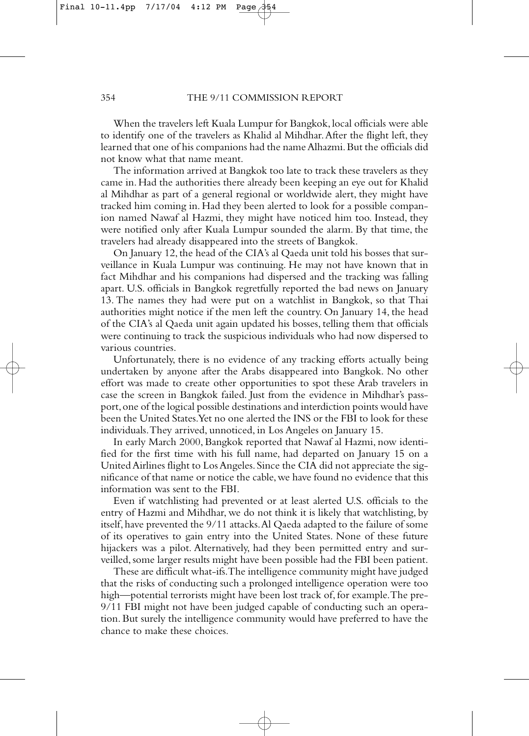When the travelers left Kuala Lumpur for Bangkok, local officials were able to identify one of the travelers as Khalid al Mihdhar.After the flight left, they learned that one of his companions had the name Alhazmi.But the officials did not know what that name meant.

The information arrived at Bangkok too late to track these travelers as they came in. Had the authorities there already been keeping an eye out for Khalid al Mihdhar as part of a general regional or worldwide alert, they might have tracked him coming in. Had they been alerted to look for a possible companion named Nawaf al Hazmi, they might have noticed him too. Instead, they were notified only after Kuala Lumpur sounded the alarm. By that time, the travelers had already disappeared into the streets of Bangkok.

On January 12, the head of the CIA's al Qaeda unit told his bosses that surveillance in Kuala Lumpur was continuing. He may not have known that in fact Mihdhar and his companions had dispersed and the tracking was falling apart. U.S. officials in Bangkok regretfully reported the bad news on January 13. The names they had were put on a watchlist in Bangkok, so that Thai authorities might notice if the men left the country. On January 14, the head of the CIA's al Qaeda unit again updated his bosses, telling them that officials were continuing to track the suspicious individuals who had now dispersed to various countries.

Unfortunately, there is no evidence of any tracking efforts actually being undertaken by anyone after the Arabs disappeared into Bangkok. No other effort was made to create other opportunities to spot these Arab travelers in case the screen in Bangkok failed. Just from the evidence in Mihdhar's passport, one of the logical possible destinations and interdiction points would have been the United States.Yet no one alerted the INS or the FBI to look for these individuals.They arrived, unnoticed, in Los Angeles on January 15.

In early March 2000, Bangkok reported that Nawaf al Hazmi, now identified for the first time with his full name, had departed on January 15 on a United Airlines flight to Los Angeles.Since the CIA did not appreciate the significance of that name or notice the cable,we have found no evidence that this information was sent to the FBI.

Even if watchlisting had prevented or at least alerted U.S. officials to the entry of Hazmi and Mihdhar, we do not think it is likely that watchlisting, by itself, have prevented the 9/11 attacks. Al Qaeda adapted to the failure of some of its operatives to gain entry into the United States. None of these future hijackers was a pilot. Alternatively, had they been permitted entry and surveilled, some larger results might have been possible had the FBI been patient.

These are difficult what-ifs.The intelligence community might have judged that the risks of conducting such a prolonged intelligence operation were too high—potential terrorists might have been lost track of, for example.The pre-9/11 FBI might not have been judged capable of conducting such an operation. But surely the intelligence community would have preferred to have the chance to make these choices.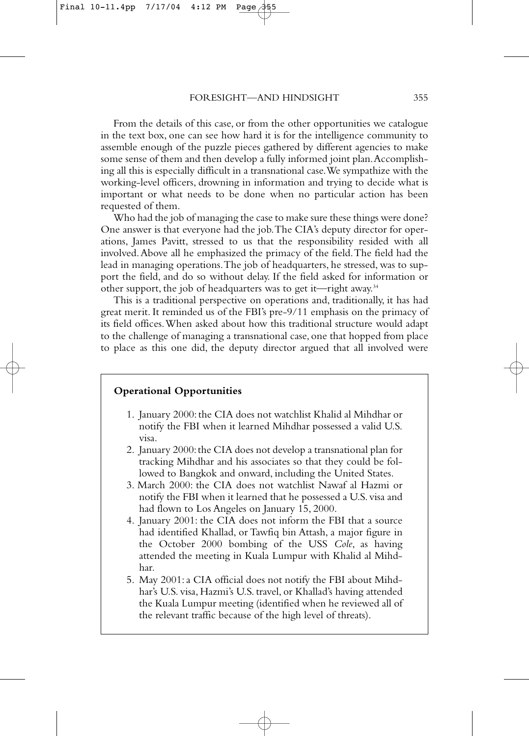From the details of this case, or from the other opportunities we catalogue in the text box, one can see how hard it is for the intelligence community to assemble enough of the puzzle pieces gathered by different agencies to make some sense of them and then develop a fully informed joint plan.Accomplishing all this is especially difficult in a transnational case.We sympathize with the working-level officers, drowning in information and trying to decide what is important or what needs to be done when no particular action has been requested of them.

Who had the job of managing the case to make sure these things were done? One answer is that everyone had the job.The CIA's deputy director for operations, James Pavitt, stressed to us that the responsibility resided with all involved.Above all he emphasized the primacy of the field.The field had the lead in managing operations.The job of headquarters, he stressed, was to support the field, and do so without delay. If the field asked for information or other support, the job of headquarters was to get it—right away.34

This is a traditional perspective on operations and, traditionally, it has had great merit. It reminded us of the FBI's pre-9/11 emphasis on the primacy of its field offices.When asked about how this traditional structure would adapt to the challenge of managing a transnational case, one that hopped from place to place as this one did, the deputy director argued that all involved were

# **Operational Opportunities**

- 1. January 2000:the CIA does not watchlist Khalid al Mihdhar or notify the FBI when it learned Mihdhar possessed a valid U.S. visa.
- 2. January 2000:the CIA does not develop a transnational plan for tracking Mihdhar and his associates so that they could be followed to Bangkok and onward, including the United States.
- 3. March 2000: the CIA does not watchlist Nawaf al Hazmi or notify the FBI when it learned that he possessed a U.S.visa and had flown to Los Angeles on January 15, 2000.
- 4. January 2001: the CIA does not inform the FBI that a source had identified Khallad, or Tawfiq bin Attash, a major figure in the October 2000 bombing of the USS *Cole*, as having attended the meeting in Kuala Lumpur with Khalid al Mihdhar.
- 5. May 2001: a CIA official does not notify the FBI about Mihdhar's U.S. visa, Hazmi's U.S. travel, or Khallad's having attended the Kuala Lumpur meeting (identified when he reviewed all of the relevant traffic because of the high level of threats).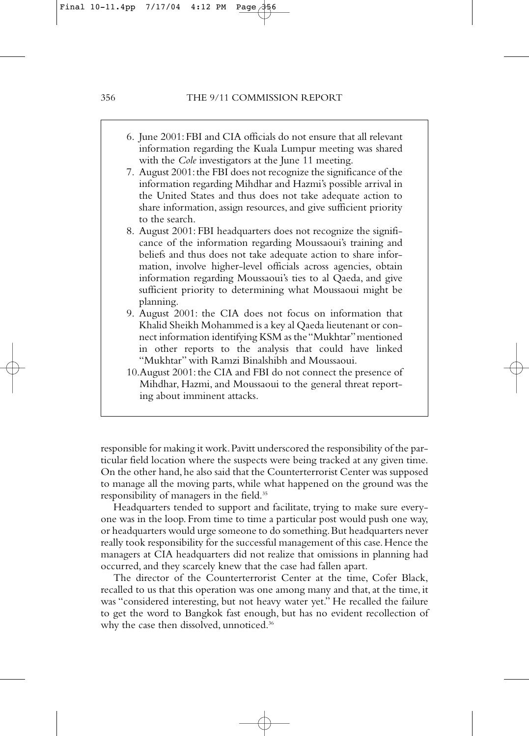- 6. June 2001: FBI and CIA officials do not ensure that all relevant information regarding the Kuala Lumpur meeting was shared with the *Cole* investigators at the June 11 meeting.
- 7. August 2001:the FBI does not recognize the significance of the information regarding Mihdhar and Hazmi's possible arrival in the United States and thus does not take adequate action to share information, assign resources, and give sufficient priority to the search.
- 8. August 2001: FBI headquarters does not recognize the significance of the information regarding Moussaoui's training and beliefs and thus does not take adequate action to share information, involve higher-level officials across agencies, obtain information regarding Moussaoui's ties to al Qaeda, and give sufficient priority to determining what Moussaoui might be planning.
- 9. August 2001: the CIA does not focus on information that Khalid Sheikh Mohammed is a key al Qaeda lieutenant or connect information identifying KSM as the "Mukhtar"mentioned in other reports to the analysis that could have linked "Mukhtar" with Ramzi Binalshibh and Moussaoui.
- 10.August 2001: the CIA and FBI do not connect the presence of Mihdhar, Hazmi, and Moussaoui to the general threat reporting about imminent attacks.

responsible for making it work.Pavitt underscored the responsibility of the particular field location where the suspects were being tracked at any given time. On the other hand, he also said that the Counterterrorist Center was supposed to manage all the moving parts, while what happened on the ground was the responsibility of managers in the field.<sup>35</sup>

Headquarters tended to support and facilitate, trying to make sure everyone was in the loop. From time to time a particular post would push one way, or headquarters would urge someone to do something.But headquarters never really took responsibility for the successful management of this case.Hence the managers at CIA headquarters did not realize that omissions in planning had occurred, and they scarcely knew that the case had fallen apart.

The director of the Counterterrorist Center at the time, Cofer Black, recalled to us that this operation was one among many and that, at the time, it was "considered interesting, but not heavy water yet." He recalled the failure to get the word to Bangkok fast enough, but has no evident recollection of why the case then dissolved, unnoticed.<sup>36</sup>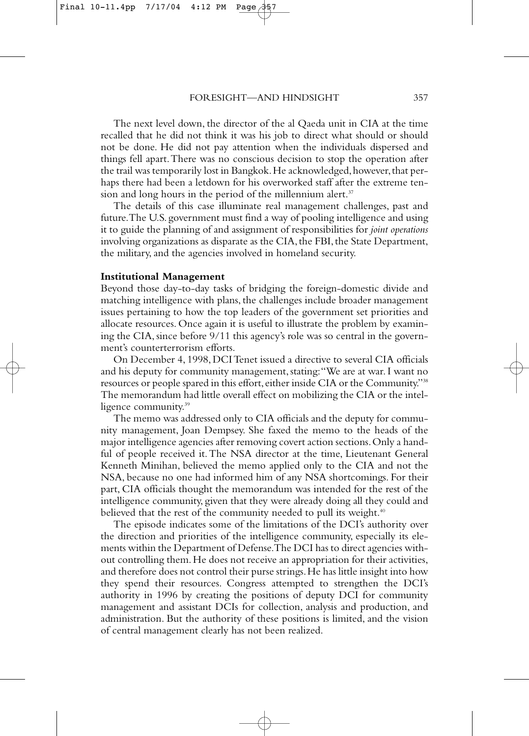The next level down, the director of the al Qaeda unit in CIA at the time recalled that he did not think it was his job to direct what should or should not be done. He did not pay attention when the individuals dispersed and things fell apart.There was no conscious decision to stop the operation after the trail was temporarily lost in Bangkok. He acknowledged, however, that perhaps there had been a letdown for his overworked staff after the extreme tension and long hours in the period of the millennium alert. $37$ 

The details of this case illuminate real management challenges, past and future.The U.S.government must find a way of pooling intelligence and using it to guide the planning of and assignment of responsibilities for *joint operations* involving organizations as disparate as the CIA, the FBI, the State Department, the military, and the agencies involved in homeland security.

## **Institutional Management**

Beyond those day-to-day tasks of bridging the foreign-domestic divide and matching intelligence with plans, the challenges include broader management issues pertaining to how the top leaders of the government set priorities and allocate resources. Once again it is useful to illustrate the problem by examining the CIA, since before 9/11 this agency's role was so central in the government's counterterrorism efforts.

On December 4, 1998, DCI Tenet issued a directive to several CIA officials and his deputy for community management, stating:"We are at war. I want no resources or people spared in this effort, either inside CIA or the Community."38 The memorandum had little overall effect on mobilizing the CIA or the intelligence community.<sup>39</sup>

The memo was addressed only to CIA officials and the deputy for community management, Joan Dempsey. She faxed the memo to the heads of the major intelligence agencies after removing covert action sections.Only a handful of people received it.The NSA director at the time, Lieutenant General Kenneth Minihan, believed the memo applied only to the CIA and not the NSA, because no one had informed him of any NSA shortcomings. For their part, CIA officials thought the memorandum was intended for the rest of the intelligence community, given that they were already doing all they could and believed that the rest of the community needed to pull its weight.<sup>40</sup>

The episode indicates some of the limitations of the DCI's authority over the direction and priorities of the intelligence community, especially its elements within the Department of Defense.The DCI has to direct agencies without controlling them. He does not receive an appropriation for their activities, and therefore does not control their purse strings. He has little insight into how they spend their resources. Congress attempted to strengthen the DCI's authority in 1996 by creating the positions of deputy DCI for community management and assistant DCIs for collection, analysis and production, and administration. But the authority of these positions is limited, and the vision of central management clearly has not been realized.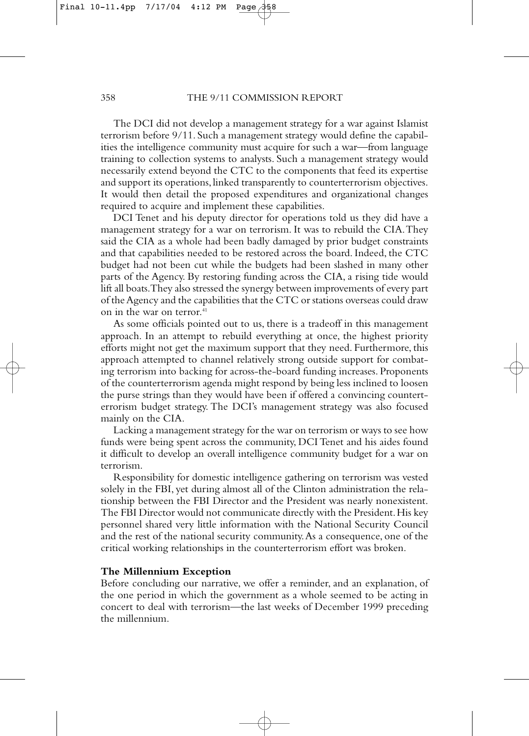The DCI did not develop a management strategy for a war against Islamist terrorism before 9/11. Such a management strategy would define the capabilities the intelligence community must acquire for such a war—from language training to collection systems to analysts. Such a management strategy would necessarily extend beyond the CTC to the components that feed its expertise and support its operations, linked transparently to counterterrorism objectives. It would then detail the proposed expenditures and organizational changes required to acquire and implement these capabilities.

DCI Tenet and his deputy director for operations told us they did have a management strategy for a war on terrorism. It was to rebuild the CIA.They said the CIA as a whole had been badly damaged by prior budget constraints and that capabilities needed to be restored across the board. Indeed, the CTC budget had not been cut while the budgets had been slashed in many other parts of the Agency. By restoring funding across the CIA, a rising tide would lift all boats.They also stressed the synergy between improvements of every part of the Agency and the capabilities that the CTC or stations overseas could draw on in the war on terror.<sup>41</sup>

As some officials pointed out to us, there is a tradeoff in this management approach. In an attempt to rebuild everything at once, the highest priority efforts might not get the maximum support that they need. Furthermore, this approach attempted to channel relatively strong outside support for combating terrorism into backing for across-the-board funding increases. Proponents of the counterterrorism agenda might respond by being less inclined to loosen the purse strings than they would have been if offered a convincing counterterrorism budget strategy. The DCI's management strategy was also focused mainly on the CIA.

Lacking a management strategy for the war on terrorism or ways to see how funds were being spent across the community, DCI Tenet and his aides found it difficult to develop an overall intelligence community budget for a war on terrorism.

Responsibility for domestic intelligence gathering on terrorism was vested solely in the FBI, yet during almost all of the Clinton administration the relationship between the FBI Director and the President was nearly nonexistent. The FBI Director would not communicate directly with the President.His key personnel shared very little information with the National Security Council and the rest of the national security community.As a consequence, one of the critical working relationships in the counterterrorism effort was broken.

## **The Millennium Exception**

Before concluding our narrative, we offer a reminder, and an explanation, of the one period in which the government as a whole seemed to be acting in concert to deal with terrorism—the last weeks of December 1999 preceding the millennium.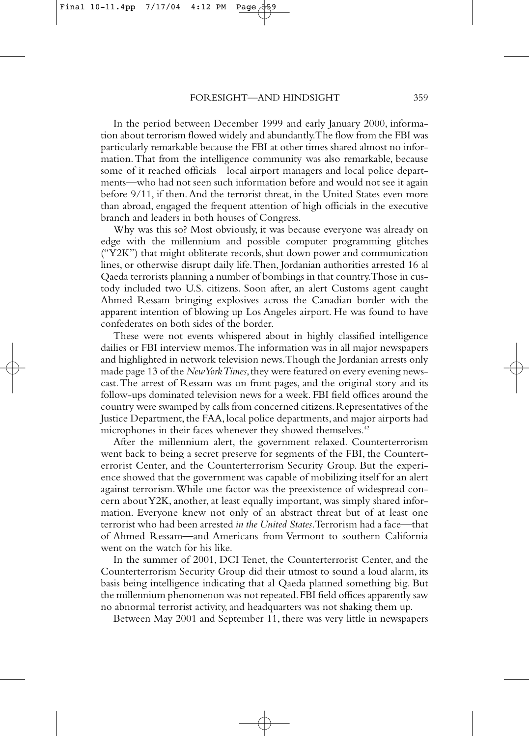In the period between December 1999 and early January 2000, information about terrorism flowed widely and abundantly.The flow from the FBI was particularly remarkable because the FBI at other times shared almost no information.That from the intelligence community was also remarkable, because some of it reached officials—local airport managers and local police departments—who had not seen such information before and would not see it again before  $9/11$ , if then. And the terrorist threat, in the United States even more than abroad, engaged the frequent attention of high officials in the executive branch and leaders in both houses of Congress.

Why was this so? Most obviously, it was because everyone was already on edge with the millennium and possible computer programming glitches ("Y2K") that might obliterate records, shut down power and communication lines, or otherwise disrupt daily life.Then, Jordanian authorities arrested 16 al Qaeda terrorists planning a number of bombings in that country.Those in custody included two U.S. citizens. Soon after, an alert Customs agent caught Ahmed Ressam bringing explosives across the Canadian border with the apparent intention of blowing up Los Angeles airport. He was found to have confederates on both sides of the border.

These were not events whispered about in highly classified intelligence dailies or FBI interview memos.The information was in all major newspapers and highlighted in network television news.Though the Jordanian arrests only made page 13 of the *New York Times*, they were featured on every evening newscast.The arrest of Ressam was on front pages, and the original story and its follow-ups dominated television news for a week. FBI field offices around the country were swamped by calls from concerned citizens.Representatives of the Justice Department, the FAA, local police departments, and major airports had microphones in their faces whenever they showed themselves.<sup>42</sup>

After the millennium alert, the government relaxed. Counterterrorism went back to being a secret preserve for segments of the FBI, the Counterterrorist Center, and the Counterterrorism Security Group. But the experience showed that the government was capable of mobilizing itself for an alert against terrorism.While one factor was the preexistence of widespread concern about Y2K, another, at least equally important, was simply shared information. Everyone knew not only of an abstract threat but of at least one terrorist who had been arrested *in the United States*.Terrorism had a face—that of Ahmed Ressam—and Americans from Vermont to southern California went on the watch for his like.

In the summer of 2001, DCI Tenet, the Counterterrorist Center, and the Counterterrorism Security Group did their utmost to sound a loud alarm, its basis being intelligence indicating that al Qaeda planned something big. But the millennium phenomenon was not repeated.FBI field offices apparently saw no abnormal terrorist activity, and headquarters was not shaking them up.

Between May 2001 and September 11, there was very little in newspapers